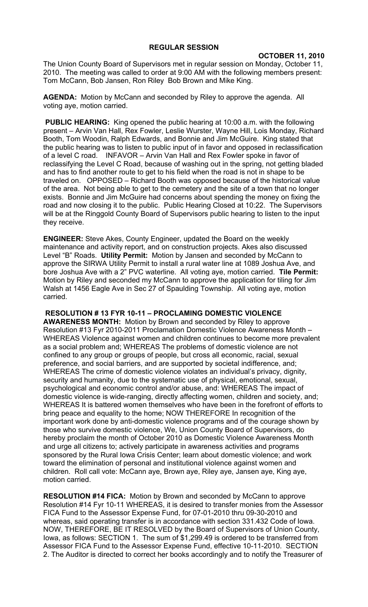## **REGULAR SESSION**

## **OCTOBER 11, 2010**

The Union County Board of Supervisors met in regular session on Monday, October 11, 2010. The meeting was called to order at 9:00 AM with the following members present: Tom McCann, Bob Jansen, Ron Riley Bob Brown and Mike King.

**AGENDA:** Motion by McCann and seconded by Riley to approve the agenda. All voting aye, motion carried.

**PUBLIC HEARING:** King opened the public hearing at 10:00 a.m. with the following present – Arvin Van Hall, Rex Fowler, Leslie Wurster, Wayne Hill, Lois Monday, Richard Booth, Tom Woodin, Ralph Edwards, and Bonnie and Jim McGuire. King stated that the public hearing was to listen to public input of in favor and opposed in reclassification of a level C road. INFAVOR – Arvin Van Hall and Rex Fowler spoke in favor of reclassifying the Level C Road, because of washing out in the spring, not getting bladed and has to find another route to get to his field when the road is not in shape to be traveled on. OPPOSED – Richard Booth was opposed because of the historical value of the area. Not being able to get to the cemetery and the site of a town that no longer exists. Bonnie and Jim McGuire had concerns about spending the money on fixing the road and now closing it to the public. Public Hearing Closed at 10:22. The Supervisors will be at the Ringgold County Board of Supervisors public hearing to listen to the input they receive.

**ENGINEER:** Steve Akes, County Engineer, updated the Board on the weekly maintenance and activity report, and on construction projects. Akes also discussed Level "B" Roads. **Utility Permit:** Motion by Jansen and seconded by McCann to approve the SIRWA Utility Permit to install a rural water line at 1089 Joshua Ave, and bore Joshua Ave with a 2" PVC waterline. All voting aye, motion carried. **Tile Permit:**  Motion by Riley and seconded my McCann to approve the application for tiling for Jim Walsh at 1456 Eagle Ave in Sec 27 of Spaulding Township. All voting aye, motion carried.

 **RESOLUTION # 13 FYR 10-11 – PROCLAMING DOMESTIC VIOLENCE AWARENESS MONTH:** Motion by Brown and seconded by Riley to approve Resolution #13 Fyr 2010-2011 Proclamation Domestic Violence Awareness Month – WHEREAS Violence against women and children continues to become more prevalent as a social problem and; WHEREAS The problems of domestic violence are not confined to any group or groups of people, but cross all economic, racial, sexual preference, and social barriers, and are supported by societal indifference, and; WHEREAS The crime of domestic violence violates an individual's privacy, dignity, security and humanity, due to the systematic use of physical, emotional, sexual, psychological and economic control and/or abuse, and: WHEREAS The impact of domestic violence is wide-ranging, directly affecting women, children and society, and; WHEREAS It is battered women themselves who have been in the forefront of efforts to bring peace and equality to the home; NOW THEREFORE In recognition of the important work done by anti-domestic violence programs and of the courage shown by those who survive domestic violence, We, Union County Board of Supervisors, do hereby proclaim the month of October 2010 as Domestic Violence Awareness Month and urge all citizens to; actively participate in awareness activities and programs sponsored by the Rural Iowa Crisis Center; learn about domestic violence; and work toward the elimination of personal and institutional violence against women and children. Roll call vote: McCann aye, Brown aye, Riley aye, Jansen aye, King aye, motion carried.

**RESOLUTION #14 FICA:** Motion by Brown and seconded by McCann to approve Resolution #14 Fyr 10-11 WHEREAS, it is desired to transfer monies from the Assessor FICA Fund to the Assessor Expense Fund, for 07-01-2010 thru 09-30-2010 and whereas, said operating transfer is in accordance with section 331.432 Code of Iowa. NOW, THEREFORE, BE IT RESOLVED by the Board of Supervisors of Union County, Iowa, as follows: SECTION 1. The sum of \$1,299.49 is ordered to be transferred from Assessor FICA Fund to the Assessor Expense Fund, effective 10-11-2010. SECTION 2. The Auditor is directed to correct her books accordingly and to notify the Treasurer of